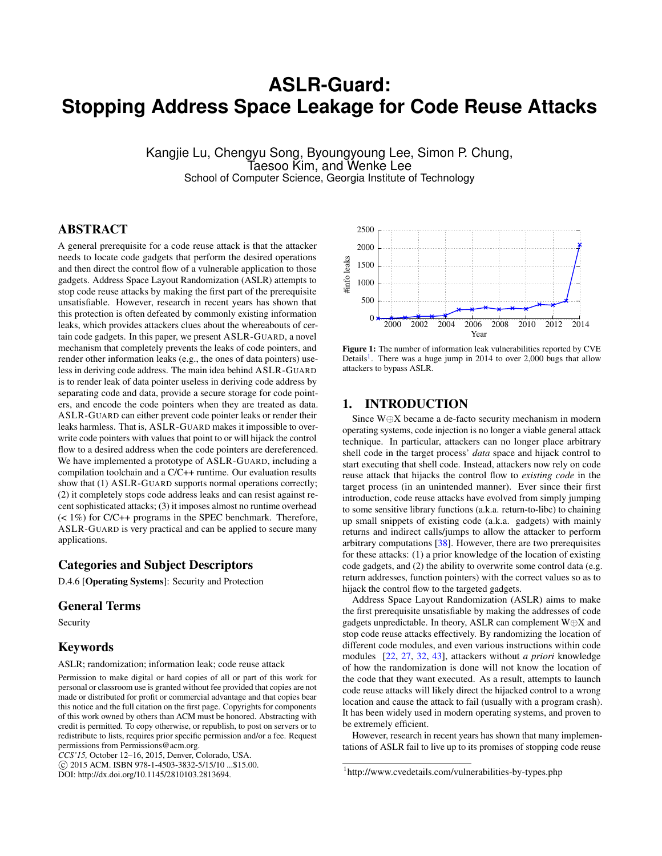# **ASLR-Guard: Stopping Address Space Leakage for Code Reuse Attacks**

Kangjie Lu, Chengyu Song, Byoungyoung Lee, Simon P. Chung, Taesoo Kim, and Wenke Lee School of Computer Science, Georgia Institute of Technology

## ABSTRACT

A general prerequisite for a code reuse attack is that the attacker needs to locate code gadgets that perform the desired operations and then direct the control flow of a vulnerable application to those gadgets. Address Space Layout Randomization (ASLR) attempts to stop code reuse attacks by making the first part of the prerequisite unsatisfiable. However, research in recent years has shown that this protection is often defeated by commonly existing information leaks, which provides attackers clues about the whereabouts of certain code gadgets. In this paper, we present ASLR-GUARD, a novel mechanism that completely prevents the leaks of code pointers, and render other information leaks (e.g., the ones of data pointers) useless in deriving code address. The main idea behind ASLR-GUARD is to render leak of data pointer useless in deriving code address by separating code and data, provide a secure storage for code pointers, and encode the code pointers when they are treated as data. ASLR-GUARD can either prevent code pointer leaks or render their leaks harmless. That is, ASLR-GUARD makes it impossible to overwrite code pointers with values that point to or will hijack the control flow to a desired address when the code pointers are dereferenced. We have implemented a prototype of ASLR-GUARD, including a compilation toolchain and a C/C++ runtime. Our evaluation results show that (1) ASLR-GUARD supports normal operations correctly; (2) it completely stops code address leaks and can resist against recent sophisticated attacks; (3) it imposes almost no runtime overhead (< 1%) for C/C++ programs in the SPEC benchmark. Therefore, ASLR-GUARD is very practical and can be applied to secure many applications.

#### Categories and Subject Descriptors

D.4.6 [Operating Systems]: Security and Protection

#### General Terms

Security

# Keywords

ASLR; randomization; information leak; code reuse attack

*CCS'15,* October 12–16, 2015, Denver, Colorado, USA.

⃝c 2015 ACM. ISBN 978-1-4503-3832-5/15/10 ...\$15.00.

DOI: http://dx.doi.org/10.1145/2810103.2813694.

<span id="page-0-1"></span>

Figure 1: The number of information leak vulnerabilities reported by CVE Details<sup>[1](#page-0-0)</sup>. There was a huge jump in 2014 to over 2,000 bugs that allow attackers to bypass ASLR.

## 1. INTRODUCTION

Since W⊕X became a de-facto security mechanism in modern operating systems, code injection is no longer a viable general attack technique. In particular, attackers can no longer place arbitrary shell code in the target process' *data* space and hijack control to start executing that shell code. Instead, attackers now rely on code reuse attack that hijacks the control flow to *existing code* in the target process (in an unintended manner). Ever since their first introduction, code reuse attacks have evolved from simply jumping to some sensitive library functions (a.k.a. return-to-libc) to chaining up small snippets of existing code (a.k.a. gadgets) with mainly returns and indirect calls/jumps to allow the attacker to perform arbitrary computations [\[38\]](#page-11-0). However, there are two prerequisites for these attacks: (1) a prior knowledge of the location of existing code gadgets, and (2) the ability to overwrite some control data (e.g. return addresses, function pointers) with the correct values so as to hijack the control flow to the targeted gadgets.

Address Space Layout Randomization (ASLR) aims to make the first prerequisite unsatisfiable by making the addresses of code gadgets unpredictable. In theory, ASLR can complement W⊕X and stop code reuse attacks effectively. By randomizing the location of different code modules, and even various instructions within code modules [\[22,](#page-11-1) [27,](#page-11-2) [32,](#page-11-3) [43\]](#page-11-4), attackers without *a priori* knowledge of how the randomization is done will not know the location of the code that they want executed. As a result, attempts to launch code reuse attacks will likely direct the hijacked control to a wrong location and cause the attack to fail (usually with a program crash). It has been widely used in modern operating systems, and proven to be extremely efficient.

However, research in recent years has shown that many implementations of ASLR fail to live up to its promises of stopping code reuse

Permission to make digital or hard copies of all or part of this work for personal or classroom use is granted without fee provided that copies are not made or distributed for profit or commercial advantage and that copies bear this notice and the full citation on the first page. Copyrights for components of this work owned by others than ACM must be honored. Abstracting with credit is permitted. To copy otherwise, or republish, to post on servers or to redistribute to lists, requires prior specific permission and/or a fee. Request permissions from Permissions@acm.org.

<span id="page-0-0"></span><sup>1</sup> http://www.cvedetails.com/vulnerabilities-by-types.php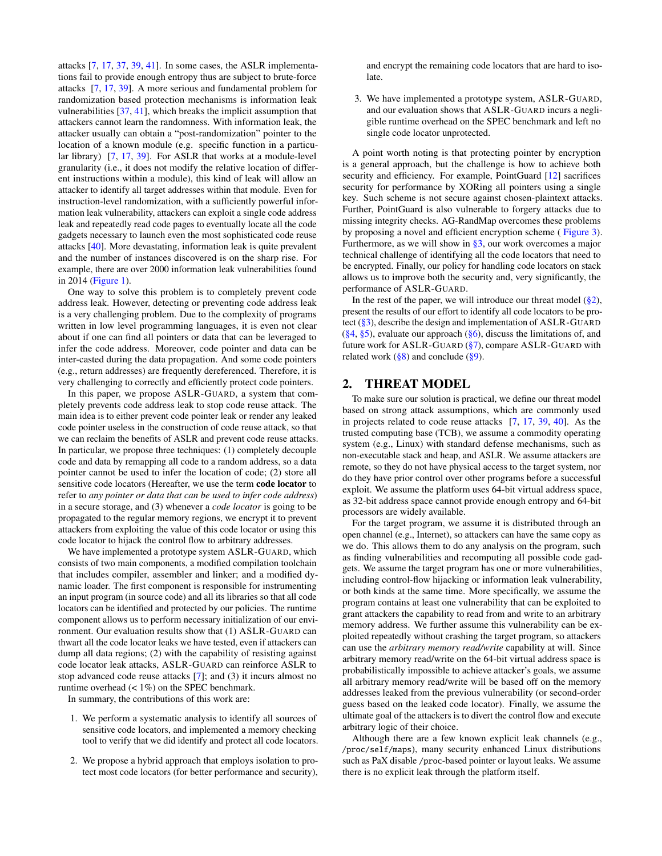attacks [\[7,](#page-10-0) [17,](#page-11-5) [37,](#page-11-6) [39,](#page-11-7) [41\]](#page-11-8). In some cases, the ASLR implementations fail to provide enough entropy thus are subject to brute-force attacks [\[7,](#page-10-0) [17,](#page-11-5) [39\]](#page-11-7). A more serious and fundamental problem for randomization based protection mechanisms is information leak vulnerabilities [\[37,](#page-11-6) [41\]](#page-11-8), which breaks the implicit assumption that attackers cannot learn the randomness. With information leak, the attacker usually can obtain a "post-randomization" pointer to the location of a known module (e.g. specific function in a particular library) [\[7,](#page-10-0) [17,](#page-11-5) [39\]](#page-11-7). For ASLR that works at a module-level granularity (i.e., it does not modify the relative location of different instructions within a module), this kind of leak will allow an attacker to identify all target addresses within that module. Even for instruction-level randomization, with a sufficiently powerful information leak vulnerability, attackers can exploit a single code address leak and repeatedly read code pages to eventually locate all the code gadgets necessary to launch even the most sophisticated code reuse attacks [\[40\]](#page-11-9). More devastating, information leak is quite prevalent and the number of instances discovered is on the sharp rise. For example, there are over 2000 information leak vulnerabilities found in 2014 [\(Figure 1\)](#page-0-1).

One way to solve this problem is to completely prevent code address leak. However, detecting or preventing code address leak is a very challenging problem. Due to the complexity of programs written in low level programming languages, it is even not clear about if one can find all pointers or data that can be leveraged to infer the code address. Moreover, code pointer and data can be inter-casted during the data propagation. And some code pointers (e.g., return addresses) are frequently dereferenced. Therefore, it is very challenging to correctly and efficiently protect code pointers.

In this paper, we propose ASLR-GUARD, a system that completely prevents code address leak to stop code reuse attack. The main idea is to either prevent code pointer leak or render any leaked code pointer useless in the construction of code reuse attack, so that we can reclaim the benefits of ASLR and prevent code reuse attacks. In particular, we propose three techniques: (1) completely decouple code and data by remapping all code to a random address, so a data pointer cannot be used to infer the location of code; (2) store all sensitive code locators (Hereafter, we use the term code locator to refer to *any pointer or data that can be used to infer code address*) in a secure storage, and (3) whenever a *code locator* is going to be propagated to the regular memory regions, we encrypt it to prevent attackers from exploiting the value of this code locator or using this code locator to hijack the control flow to arbitrary addresses.

We have implemented a prototype system ASLR-GUARD, which consists of two main components, a modified compilation toolchain that includes compiler, assembler and linker; and a modified dynamic loader. The first component is responsible for instrumenting an input program (in source code) and all its libraries so that all code locators can be identified and protected by our policies. The runtime component allows us to perform necessary initialization of our environment. Our evaluation results show that (1) ASLR-GUARD can thwart all the code locator leaks we have tested, even if attackers can dump all data regions; (2) with the capability of resisting against code locator leak attacks, ASLR-GUARD can reinforce ASLR to stop advanced code reuse attacks [\[7\]](#page-10-0); and (3) it incurs almost no runtime overhead  $\left($  < 1%) on the SPEC benchmark.

In summary, the contributions of this work are:

- 1. We perform a systematic analysis to identify all sources of sensitive code locators, and implemented a memory checking tool to verify that we did identify and protect all code locators.
- 2. We propose a hybrid approach that employs isolation to protect most code locators (for better performance and security),

and encrypt the remaining code locators that are hard to isolate.

3. We have implemented a prototype system, ASLR-GUARD, and our evaluation shows that ASLR-GUARD incurs a negligible runtime overhead on the SPEC benchmark and left no single code locator unprotected.

A point worth noting is that protecting pointer by encryption is a general approach, but the challenge is how to achieve both security and efficiency. For example, PointGuard [\[12\]](#page-11-10) sacrifices security for performance by XORing all pointers using a single key. Such scheme is not secure against chosen-plaintext attacks. Further, PointGuard is also vulnerable to forgery attacks due to missing integrity checks. AG-RandMap overcomes these problems by proposing a novel and efficient encryption scheme ( [Figure 3\)](#page-4-0). Furthermore, as we will show in [§3,](#page-2-0) our work overcomes a major technical challenge of identifying all the code locators that need to be encrypted. Finally, our policy for handling code locators on stack allows us to improve both the security and, very significantly, the performance of ASLR-GUARD.

In the rest of the paper, we will introduce our threat model  $(\frac{8}{2})$ , present the results of our effort to identify all code locators to be protect [\(§3\)](#page-2-0), describe the design and implementation of ASLR-GUARD  $(\S4, \S5)$ , evaluate our approach  $(\S6)$ , discuss the limitations of, and future work for ASLR-GUARD [\(§7\)](#page-8-0), compare ASLR-GUARD with related work  $(\S 8)$  and conclude  $(\S 9)$ .

### <span id="page-1-0"></span>2. THREAT MODEL

To make sure our solution is practical, we define our threat model based on strong attack assumptions, which are commonly used in projects related to code reuse attacks [\[7,](#page-10-0) [17,](#page-11-5) [39,](#page-11-7) [40\]](#page-11-9). As the trusted computing base (TCB), we assume a commodity operating system (e.g., Linux) with standard defense mechanisms, such as non-executable stack and heap, and ASLR. We assume attackers are remote, so they do not have physical access to the target system, nor do they have prior control over other programs before a successful exploit. We assume the platform uses 64-bit virtual address space, as 32-bit address space cannot provide enough entropy and 64-bit processors are widely available.

For the target program, we assume it is distributed through an open channel (e.g., Internet), so attackers can have the same copy as we do. This allows them to do any analysis on the program, such as finding vulnerabilities and recomputing all possible code gadgets. We assume the target program has one or more vulnerabilities, including control-flow hijacking or information leak vulnerability, or both kinds at the same time. More specifically, we assume the program contains at least one vulnerability that can be exploited to grant attackers the capability to read from and write to an arbitrary memory address. We further assume this vulnerability can be exploited repeatedly without crashing the target program, so attackers can use the *arbitrary memory read/write* capability at will. Since arbitrary memory read/write on the 64-bit virtual address space is probabilistically impossible to achieve attacker's goals, we assume all arbitrary memory read/write will be based off on the memory addresses leaked from the previous vulnerability (or second-order guess based on the leaked code locator). Finally, we assume the ultimate goal of the attackers is to divert the control flow and execute arbitrary logic of their choice.

Although there are a few known explicit leak channels (e.g., /proc/self/maps), many security enhanced Linux distributions such as PaX disable /proc-based pointer or layout leaks. We assume there is no explicit leak through the platform itself.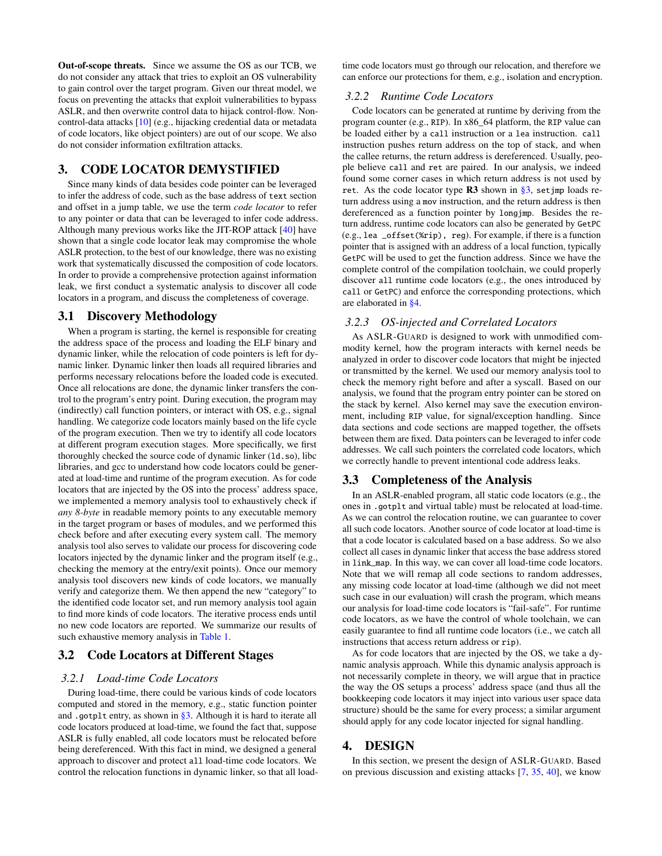Out-of-scope threats. Since we assume the OS as our TCB, we do not consider any attack that tries to exploit an OS vulnerability to gain control over the target program. Given our threat model, we focus on preventing the attacks that exploit vulnerabilities to bypass ASLR, and then overwrite control data to hijack control-flow. Noncontrol-data attacks [\[10\]](#page-10-2) (e.g., hijacking credential data or metadata of code locators, like object pointers) are out of our scope. We also do not consider information exfiltration attacks.

# <span id="page-2-0"></span>3. CODE LOCATOR DEMYSTIFIED

Since many kinds of data besides code pointer can be leveraged to infer the address of code, such as the base address of text section and offset in a jump table, we use the term *code locator* to refer to any pointer or data that can be leveraged to infer code address. Although many previous works like the JIT-ROP attack [\[40\]](#page-11-9) have shown that a single code locator leak may compromise the whole ASLR protection, to the best of our knowledge, there was no existing work that systematically discussed the composition of code locators. In order to provide a comprehensive protection against information leak, we first conduct a systematic analysis to discover all code locators in a program, and discuss the completeness of coverage.

### 3.1 Discovery Methodology

When a program is starting, the kernel is responsible for creating the address space of the process and loading the ELF binary and dynamic linker, while the relocation of code pointers is left for dynamic linker. Dynamic linker then loads all required libraries and performs necessary relocations before the loaded code is executed. Once all relocations are done, the dynamic linker transfers the control to the program's entry point. During execution, the program may (indirectly) call function pointers, or interact with OS, e.g., signal handling. We categorize code locators mainly based on the life cycle of the program execution. Then we try to identify all code locators at different program execution stages. More specifically, we first thoroughly checked the source code of dynamic linker (ld.so), libc libraries, and gcc to understand how code locators could be generated at load-time and runtime of the program execution. As for code locators that are injected by the OS into the process' address space, we implemented a memory analysis tool to exhaustively check if *any 8-byte* in readable memory points to any executable memory in the target program or bases of modules, and we performed this check before and after executing every system call. The memory analysis tool also serves to validate our process for discovering code locators injected by the dynamic linker and the program itself (e.g., checking the memory at the entry/exit points). Once our memory analysis tool discovers new kinds of code locators, we manually verify and categorize them. We then append the new "category" to the identified code locator set, and run memory analysis tool again to find more kinds of code locators. The iterative process ends until no new code locators are reported. We summarize our results of such exhaustive memory analysis in [Table 1.](#page-3-0)

#### 3.2 Code Locators at Different Stages

#### *3.2.1 Load-time Code Locators*

During load-time, there could be various kinds of code locators computed and stored in the memory, e.g., static function pointer and .gotplt entry, as shown in  $\S3$ . Although it is hard to iterate all code locators produced at load-time, we found the fact that, suppose ASLR is fully enabled, all code locators must be relocated before being dereferenced. With this fact in mind, we designed a general approach to discover and protect all load-time code locators. We control the relocation functions in dynamic linker, so that all loadtime code locators must go through our relocation, and therefore we can enforce our protections for them, e.g., isolation and encryption.

#### *3.2.2 Runtime Code Locators*

Code locators can be generated at runtime by deriving from the program counter (e.g., RIP). In x86\_64 platform, the RIP value can be loaded either by a call instruction or a lea instruction. call instruction pushes return address on the top of stack, and when the callee returns, the return address is dereferenced. Usually, people believe call and ret are paired. In our analysis, we indeed found some corner cases in which return address is not used by ret. As the code locator type  $\mathbb{R}3$  shown in [§3,](#page-2-0) setjmp loads return address using a mov instruction, and the return address is then dereferenced as a function pointer by longjmp. Besides the return address, runtime code locators can also be generated by GetPC (e.g., lea \_offset(%rip), reg). For example, if there is a function pointer that is assigned with an address of a local function, typically GetPC will be used to get the function address. Since we have the complete control of the compilation toolchain, we could properly discover all runtime code locators (e.g., the ones introduced by call or GetPC) and enforce the corresponding protections, which are elaborated in [§4.](#page-2-1)

#### *3.2.3 OS-injected and Correlated Locators*

As ASLR-GUARD is designed to work with unmodified commodity kernel, how the program interacts with kernel needs be analyzed in order to discover code locators that might be injected or transmitted by the kernel. We used our memory analysis tool to check the memory right before and after a syscall. Based on our analysis, we found that the program entry pointer can be stored on the stack by kernel. Also kernel may save the execution environment, including RIP value, for signal/exception handling. Since data sections and code sections are mapped together, the offsets between them are fixed. Data pointers can be leveraged to infer code addresses. We call such pointers the correlated code locators, which we correctly handle to prevent intentional code address leaks.

#### 3.3 Completeness of the Analysis

In an ASLR-enabled program, all static code locators (e.g., the ones in .gotplt and virtual table) must be relocated at load-time. As we can control the relocation routine, we can guarantee to cover all such code locators. Another source of code locator at load-time is that a code locator is calculated based on a base address. So we also collect all cases in dynamic linker that access the base address stored in link\_map. In this way, we can cover all load-time code locators. Note that we will remap all code sections to random addresses, any missing code locator at load-time (although we did not meet such case in our evaluation) will crash the program, which means our analysis for load-time code locators is "fail-safe". For runtime code locators, as we have the control of whole toolchain, we can easily guarantee to find all runtime code locators (i.e., we catch all instructions that access return address or rip).

As for code locators that are injected by the OS, we take a dynamic analysis approach. While this dynamic analysis approach is not necessarily complete in theory, we will argue that in practice the way the OS setups a process' address space (and thus all the bookkeeping code locators it may inject into various user space data structure) should be the same for every process; a similar argument should apply for any code locator injected for signal handling.

#### <span id="page-2-1"></span>4. DESIGN

In this section, we present the design of ASLR-GUARD. Based on previous discussion and existing attacks [\[7,](#page-10-0) [35,](#page-11-11) [40\]](#page-11-9), we know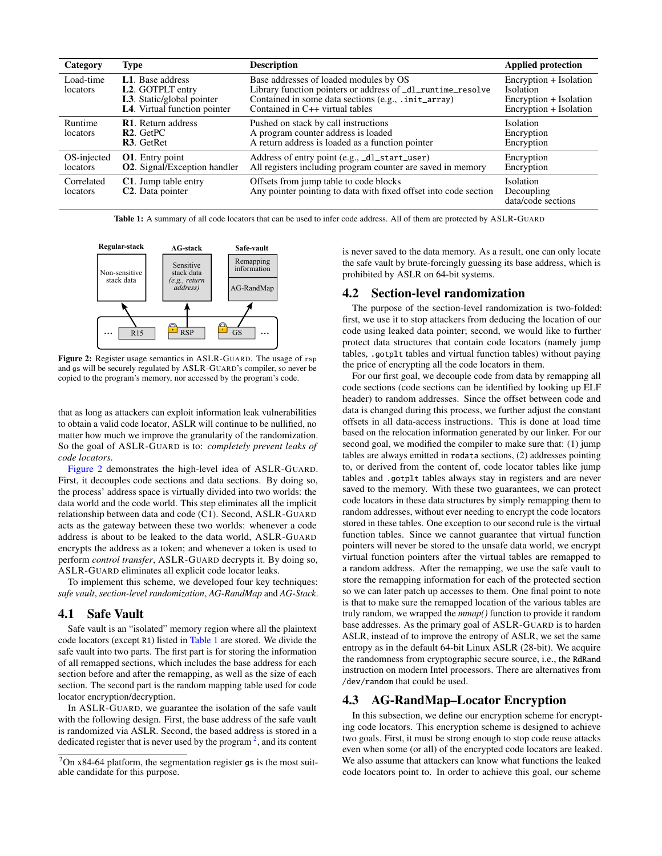<span id="page-3-0"></span>

| Category                | <b>Type</b>                                                                                                    | <b>Description</b>                                                                                                                                                                                 | <b>Applied protection</b>                                                                      |
|-------------------------|----------------------------------------------------------------------------------------------------------------|----------------------------------------------------------------------------------------------------------------------------------------------------------------------------------------------------|------------------------------------------------------------------------------------------------|
| Load-time<br>locators   | L1. Base address<br>L <sub>2</sub> . GOTPLT entry<br>L3. Static/global pointer<br>L4. Virtual function pointer | Base addresses of loaded modules by OS<br>Library function pointers or address of _dl_runtime_resolve<br>Contained in some data sections (e.g., . init_array)<br>Contained in $C++$ virtual tables | Encryption + Isolation<br><b>Isolation</b><br>Encryption + Isolation<br>Encryption + Isolation |
| Runtime<br>locators     | <b>R1.</b> Return address<br>$R2.$ GetPC<br>R <sub>3</sub> . GetRet                                            | Pushed on stack by call instructions<br>A program counter address is loaded<br>A return address is loaded as a function pointer                                                                    | <b>Isolation</b><br>Encryption<br>Encryption                                                   |
| OS-injected<br>locators | <b>O1.</b> Entry point<br><b>O2.</b> Signal/Exception handler                                                  | Address of entry point (e.g., _dl_start_user)<br>All registers including program counter are saved in memory                                                                                       | Encryption<br>Encryption                                                                       |
| Correlated<br>locators  | C1. Jump table entry<br>C <sub>2</sub> . Data pointer                                                          | Offsets from jump table to code blocks<br>Any pointer pointing to data with fixed offset into code section                                                                                         | <b>Isolation</b><br>Decoupling<br>data/code sections                                           |

Table 1: A summary of all code locators that can be used to infer code address. All of them are protected by ASLR-GUARD

<span id="page-3-1"></span>

Figure 2: Register usage semantics in ASLR-GUARD. The usage of rsp and gs will be securely regulated by ASLR-GUARD's compiler, so never be copied to the program's memory, nor accessed by the program's code.

that as long as attackers can exploit information leak vulnerabilities to obtain a valid code locator, ASLR will continue to be nullified, no matter how much we improve the granularity of the randomization. So the goal of ASLR-GUARD is to: *completely prevent leaks of code locators*.

[Figure 2](#page-3-1) demonstrates the high-level idea of ASLR-GUARD. First, it decouples code sections and data sections. By doing so, the process' address space is virtually divided into two worlds: the data world and the code world. This step eliminates all the implicit relationship between data and code (C1). Second, ASLR-GUARD acts as the gateway between these two worlds: whenever a code address is about to be leaked to the data world, ASLR-GUARD encrypts the address as a token; and whenever a token is used to perform *control transfer*, ASLR-GUARD decrypts it. By doing so, ASLR-GUARD eliminates all explicit code locator leaks.

To implement this scheme, we developed four key techniques: *safe vault*, *section-level randomization*, *AG-RandMap* and *AG-Stack*.

#### 4.1 Safe Vault

Safe vault is an "isolated" memory region where all the plaintext code locators (except R1) listed in [Table 1](#page-3-0) are stored. We divide the safe vault into two parts. The first part is for storing the information of all remapped sections, which includes the base address for each section before and after the remapping, as well as the size of each section. The second part is the random mapping table used for code locator encryption/decryption.

In ASLR-GUARD, we guarantee the isolation of the safe vault with the following design. First, the base address of the safe vault is randomized via ASLR. Second, the based address is stored in a dedicated register that is never used by the program  $2$ , and its content

is never saved to the data memory. As a result, one can only locate the safe vault by brute-forcingly guessing its base address, which is prohibited by ASLR on 64-bit systems.

#### <span id="page-3-3"></span>4.2 Section-level randomization

The purpose of the section-level randomization is two-folded: first, we use it to stop attackers from deducing the location of our code using leaked data pointer; second, we would like to further protect data structures that contain code locators (namely jump tables, .gotplt tables and virtual function tables) without paying the price of encrypting all the code locators in them.

For our first goal, we decouple code from data by remapping all code sections (code sections can be identified by looking up ELF header) to random addresses. Since the offset between code and data is changed during this process, we further adjust the constant offsets in all data-access instructions. This is done at load time based on the relocation information generated by our linker. For our second goal, we modified the compiler to make sure that: (1) jump tables are always emitted in rodata sections, (2) addresses pointing to, or derived from the content of, code locator tables like jump tables and .gotplt tables always stay in registers and are never saved to the memory. With these two guarantees, we can protect code locators in these data structures by simply remapping them to random addresses, without ever needing to encrypt the code locators stored in these tables. One exception to our second rule is the virtual function tables. Since we cannot guarantee that virtual function pointers will never be stored to the unsafe data world, we encrypt virtual function pointers after the virtual tables are remapped to a random address. After the remapping, we use the safe vault to store the remapping information for each of the protected section so we can later patch up accesses to them. One final point to note is that to make sure the remapped location of the various tables are truly random, we wrapped the *mmap()* function to provide it random base addresses. As the primary goal of ASLR-GUARD is to harden ASLR, instead of to improve the entropy of ASLR, we set the same entropy as in the default 64-bit Linux ASLR (28-bit). We acquire the randomness from cryptographic secure source, i.e., the RdRand instruction on modern Intel processors. There are alternatives from /dev/random that could be used.

## <span id="page-3-4"></span>4.3 AG-RandMap–Locator Encryption

In this subsection, we define our encryption scheme for encrypting code locators. This encryption scheme is designed to achieve two goals. First, it must be strong enough to stop code reuse attacks even when some (or all) of the encrypted code locators are leaked. We also assume that attackers can know what functions the leaked code locators point to. In order to achieve this goal, our scheme

<span id="page-3-2"></span> $2$ On x84-64 platform, the segmentation register gs is the most suitable candidate for this purpose.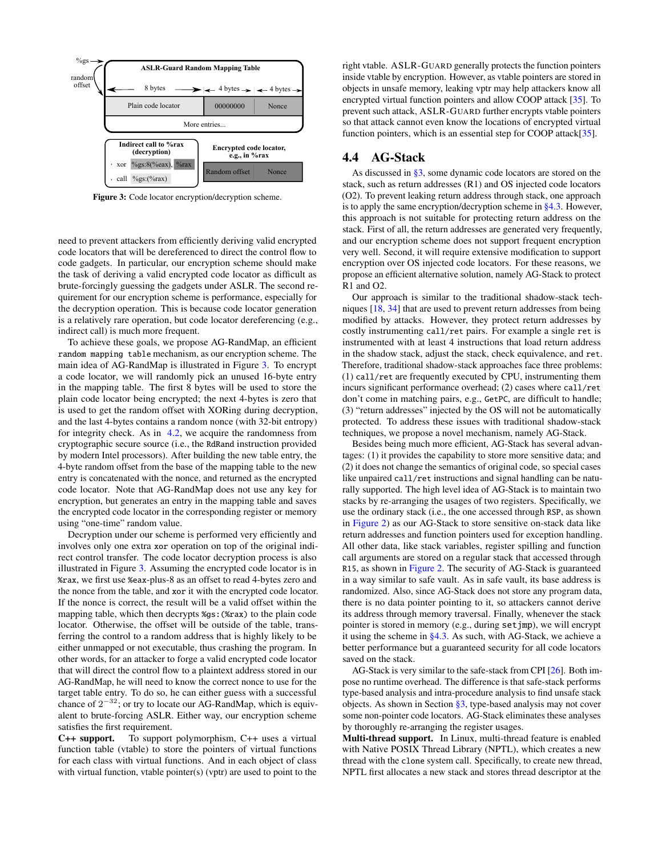<span id="page-4-0"></span>

Figure 3: Code locator encryption/decryption scheme.

need to prevent attackers from efficiently deriving valid encrypted code locators that will be dereferenced to direct the control flow to code gadgets. In particular, our encryption scheme should make the task of deriving a valid encrypted code locator as difficult as brute-forcingly guessing the gadgets under ASLR. The second requirement for our encryption scheme is performance, especially for the decryption operation. This is because code locator generation is a relatively rare operation, but code locator dereferencing (e.g., indirect call) is much more frequent.

To achieve these goals, we propose AG-RandMap, an efficient random mapping table mechanism, as our encryption scheme. The main idea of AG-RandMap is illustrated in Figure [3.](#page-4-0) To encrypt a code locator, we will randomly pick an unused 16-byte entry in the mapping table. The first 8 bytes will be used to store the plain code locator being encrypted; the next 4-bytes is zero that is used to get the random offset with XORing during decryption, and the last 4-bytes contains a random nonce (with 32-bit entropy) for integrity check. As in [4.2,](#page-3-3) we acquire the randomness from cryptographic secure source (i.e., the RdRand instruction provided by modern Intel processors). After building the new table entry, the 4-byte random offset from the base of the mapping table to the new entry is concatenated with the nonce, and returned as the encrypted code locator. Note that AG-RandMap does not use any key for encryption, but generates an entry in the mapping table and saves the encrypted code locator in the corresponding register or memory using "one-time" random value.

Decryption under our scheme is performed very efficiently and involves only one extra xor operation on top of the original indirect control transfer. The code locator decryption process is also illustrated in Figure [3.](#page-4-0) Assuming the encrypted code locator is in %rax, we first use %eax-plus-8 as an offset to read 4-bytes zero and the nonce from the table, and xor it with the encrypted code locator. If the nonce is correct, the result will be a valid offset within the mapping table, which then decrypts %gs:(%rax) to the plain code locator. Otherwise, the offset will be outside of the table, transferring the control to a random address that is highly likely to be either unmapped or not executable, thus crashing the program. In other words, for an attacker to forge a valid encrypted code locator that will direct the control flow to a plaintext address stored in our AG-RandMap, he will need to know the correct nonce to use for the target table entry. To do so, he can either guess with a successful chance of  $2^{-32}$ ; or try to locate our AG-RandMap, which is equivalent to brute-forcing ASLR. Either way, our encryption scheme satisfies the first requirement.

C++ support. To support polymorphism, C++ uses a virtual function table (vtable) to store the pointers of virtual functions for each class with virtual functions. And in each object of class with virtual function, vtable pointer(s) (vptr) are used to point to the right vtable. ASLR-GUARD generally protects the function pointers inside vtable by encryption. However, as vtable pointers are stored in objects in unsafe memory, leaking vptr may help attackers know all encrypted virtual function pointers and allow COOP attack [\[35\]](#page-11-11). To prevent such attack, ASLR-GUARD further encrypts vtable pointers so that attack cannot even know the locations of encrypted virtual function pointers, which is an essential step for COOP attack [\[35\]](#page-11-11).

#### 4.4 AG-Stack

As discussed in  $\S3$ , some dynamic code locators are stored on the stack, such as return addresses (R1) and OS injected code locators (O2). To prevent leaking return address through stack, one approach is to apply the same encryption/decryption scheme in  $\S 4.3$ . However, this approach is not suitable for protecting return address on the stack. First of all, the return addresses are generated very frequently, and our encryption scheme does not support frequent encryption very well. Second, it will require extensive modification to support encryption over OS injected code locators. For these reasons, we propose an efficient alternative solution, namely AG-Stack to protect R1 and O2.

Our approach is similar to the traditional shadow-stack techniques [\[18,](#page-11-12) [34\]](#page-11-13) that are used to prevent return addresses from being modified by attacks. However, they protect return addresses by costly instrumenting call/ret pairs. For example a single ret is instrumented with at least 4 instructions that load return address in the shadow stack, adjust the stack, check equivalence, and ret. Therefore, traditional shadow-stack approaches face three problems: (1) call/ret are frequently executed by CPU, instrumenting them incurs significant performance overhead; (2) cases where call/ret don't come in matching pairs, e.g., GetPC, are difficult to handle; (3) "return addresses" injected by the OS will not be automatically protected. To address these issues with traditional shadow-stack techniques, we propose a novel mechanism, namely AG-Stack.

Besides being much more efficient, AG-Stack has several advantages: (1) it provides the capability to store more sensitive data; and (2) it does not change the semantics of original code, so special cases like unpaired call/ret instructions and signal handling can be naturally supported. The high level idea of AG-Stack is to maintain two stacks by re-arranging the usages of two registers. Specifically, we use the ordinary stack (i.e., the one accessed through RSP, as shown in [Figure 2\)](#page-3-1) as our AG-Stack to store sensitive on-stack data like return addresses and function pointers used for exception handling. All other data, like stack variables, register spilling and function call arguments are stored on a regular stack that accessed through R15, as shown in [Figure 2.](#page-3-1) The security of AG-Stack is guaranteed in a way similar to safe vault. As in safe vault, its base address is randomized. Also, since AG-Stack does not store any program data, there is no data pointer pointing to it, so attackers cannot derive its address through memory traversal. Finally, whenever the stack pointer is stored in memory (e.g., during setjmp), we will encrypt it using the scheme in [§4.3.](#page-3-4) As such, with AG-Stack, we achieve a better performance but a guaranteed security for all code locators saved on the stack.

AG-Stack is very similar to the safe-stack from CPI [\[26\]](#page-11-14). Both impose no runtime overhead. The difference is that safe-stack performs type-based analysis and intra-procedure analysis to find unsafe stack objects. As shown in Section [§3,](#page-2-0) type-based analysis may not cover some non-pointer code locators. AG-Stack eliminates these analyses by thoroughly re-arranging the register usages.

Multi-thread support. In Linux, multi-thread feature is enabled with Native POSIX Thread Library (NPTL), which creates a new thread with the clone system call. Specifically, to create new thread, NPTL first allocates a new stack and stores thread descriptor at the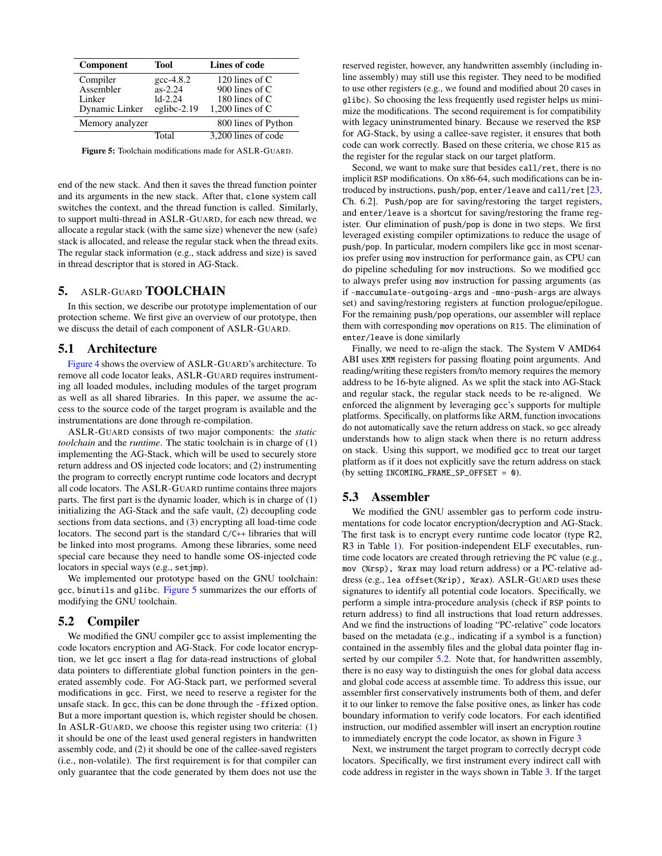<span id="page-5-1"></span>

| Component                                         | Tool                                                          | Lines of code                                                              |
|---------------------------------------------------|---------------------------------------------------------------|----------------------------------------------------------------------------|
| Compiler<br>Assembler<br>Linker<br>Dynamic Linker | $\rm gcc-4.8.2$<br>$as - 2.24$<br>$1d-2.24$<br>eglibc- $2.19$ | 120 lines of C<br>900 lines of C<br>180 lines of $C$<br>1,200 lines of $C$ |
| Memory analyzer                                   |                                                               | 800 lines of Python                                                        |
|                                                   | Total                                                         | 3,200 lines of code                                                        |

Figure 5: Toolchain modifications made for ASLR-GUARD.

end of the new stack. And then it saves the thread function pointer and its arguments in the new stack. After that, clone system call switches the context, and the thread function is called. Similarly, to support multi-thread in ASLR-GUARD, for each new thread, we allocate a regular stack (with the same size) whenever the new (safe) stack is allocated, and release the regular stack when the thread exits. The regular stack information (e.g., stack address and size) is saved in thread descriptor that is stored in AG-Stack.

#### <span id="page-5-0"></span>5. ASLR-GUARD TOOLCHAIN

In this section, we describe our prototype implementation of our protection scheme. We first give an overview of our prototype, then we discuss the detail of each component of ASLR-GUARD.

## 5.1 Architecture

[Figure 4](#page-6-0) shows the overview of ASLR-GUARD's architecture. To remove all code locator leaks, ASLR-GUARD requires instrumenting all loaded modules, including modules of the target program as well as all shared libraries. In this paper, we assume the access to the source code of the target program is available and the instrumentations are done through re-compilation.

ASLR-GUARD consists of two major components: the *static toolchain* and the *runtime*. The static toolchain is in charge of (1) implementing the AG-Stack, which will be used to securely store return address and OS injected code locators; and (2) instrumenting the program to correctly encrypt runtime code locators and decrypt all code locators. The ASLR-GUARD runtime contains three majors parts. The first part is the dynamic loader, which is in charge of (1) initializing the AG-Stack and the safe vault, (2) decoupling code sections from data sections, and (3) encrypting all load-time code locators. The second part is the standard C/C++ libraries that will be linked into most programs. Among these libraries, some need special care because they need to handle some OS-injected code locators in special ways (e.g., setjmp).

We implemented our prototype based on the GNU toolchain: gcc, binutils and glibc. [Figure 5](#page-5-1) summarizes the our efforts of modifying the GNU toolchain.

#### <span id="page-5-2"></span>5.2 Compiler

We modified the GNU compiler gcc to assist implementing the code locators encryption and AG-Stack. For code locator encryption, we let gcc insert a flag for data-read instructions of global data pointers to differentiate global function pointers in the generated assembly code. For AG-Stack part, we performed several modifications in gcc. First, we need to reserve a register for the unsafe stack. In gcc, this can be done through the -ffixed option. But a more important question is, which register should be chosen. In ASLR-GUARD, we choose this register using two criteria: (1) it should be one of the least used general registers in handwritten assembly code, and (2) it should be one of the callee-saved registers (i.e., non-volatile). The first requirement is for that compiler can only guarantee that the code generated by them does not use the

reserved register, however, any handwritten assembly (including inline assembly) may still use this register. They need to be modified to use other registers (e.g., we found and modified about 20 cases in glibc). So choosing the less frequently used register helps us minimize the modifications. The second requirement is for compatibility with legacy uninstrumented binary. Because we reserved the RSP for AG-Stack, by using a callee-save register, it ensures that both code can work correctly. Based on these criteria, we chose R15 as the register for the regular stack on our target platform.

Second, we want to make sure that besides call/ret, there is no implicit RSP modifications. On x86-64, such modifications can be introduced by instructions, push/pop, enter/leave and call/ret [\[23,](#page-11-15) Ch. 6.2]. Push/pop are for saving/restoring the target registers, and enter/leave is a shortcut for saving/restoring the frame register. Our elimination of push/pop is done in two steps. We first leveraged existing compiler optimizations to reduce the usage of push/pop. In particular, modern compilers like gcc in most scenarios prefer using mov instruction for performance gain, as CPU can do pipeline scheduling for mov instructions. So we modified gcc to always prefer using mov instruction for passing arguments (as if -maccumulate-outgoing-args and -mno-push-args are always set) and saving/restoring registers at function prologue/epilogue. For the remaining push/pop operations, our assembler will replace them with corresponding mov operations on R15. The elimination of enter/leave is done similarly

Finally, we need to re-align the stack. The System V AMD64 ABI uses XMM registers for passing floating point arguments. And reading/writing these registers from/to memory requires the memory address to be 16-byte aligned. As we split the stack into AG-Stack and regular stack, the regular stack needs to be re-aligned. We enforced the alignment by leveraging gcc's supports for multiple platforms. Specifically, on platforms like ARM, function invocations do not automatically save the return address on stack, so gcc already understands how to align stack when there is no return address on stack. Using this support, we modified gcc to treat our target platform as if it does not explicitly save the return address on stack (by setting INCOMING\_FRAME\_SP\_OFFSET = 0).

### 5.3 Assembler

We modified the GNU assembler gas to perform code instrumentations for code locator encryption/decryption and AG-Stack. The first task is to encrypt every runtime code locator (type R2, R3 in Table [1\)](#page-3-0). For position-independent ELF executables, runtime code locators are created through retrieving the PC value (e.g., mov (%rsp), %rax may load return address) or a PC-relative address (e.g., lea offset(%rip), %rax). ASLR-GUARD uses these signatures to identify all potential code locators. Specifically, we perform a simple intra-procedure analysis (check if RSP points to return address) to find all instructions that load return addresses. And we find the instructions of loading "PC-relative" code locators based on the metadata (e.g., indicating if a symbol is a function) contained in the assembly files and the global data pointer flag in-serted by our compiler [5.2.](#page-5-2) Note that, for handwritten assembly, there is no easy way to distinguish the ones for global data access and global code access at assemble time. To address this issue, our assembler first conservatively instruments both of them, and defer it to our linker to remove the false positive ones, as linker has code boundary information to verify code locators. For each identified instruction, our modified assembler will insert an encryption routine to immediately encrypt the code locator, as shown in Figure [3](#page-4-0)

Next, we instrument the target program to correctly decrypt code locators. Specifically, we first instrument every indirect call with code address in register in the ways shown in Table [3.](#page-4-0) If the target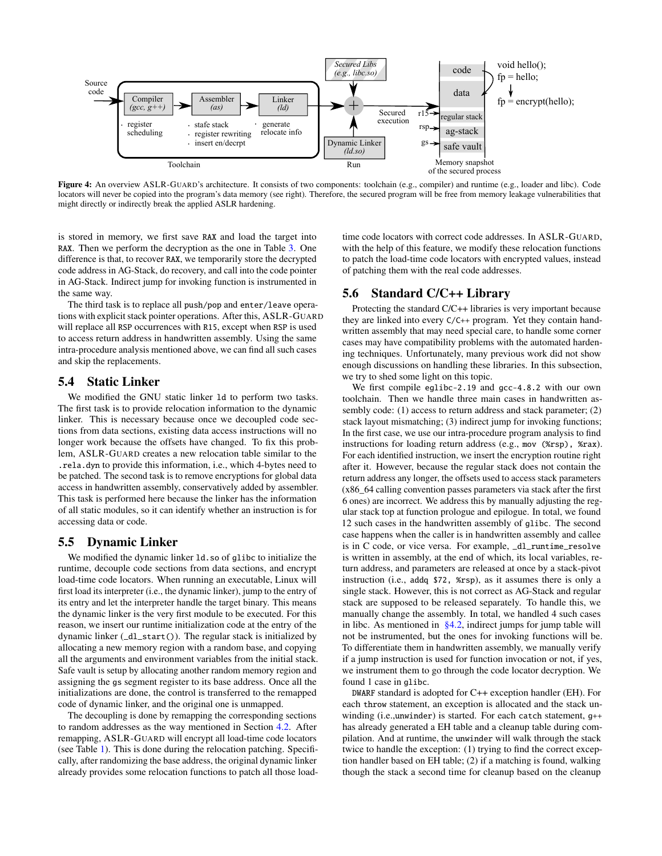<span id="page-6-0"></span>

Figure 4: An overview ASLR-GUARD's architecture. It consists of two components: toolchain (e.g., compiler) and runtime (e.g., loader and libc). Code locators will never be copied into the program's data memory (see right). Therefore, the secured program will be free from memory leakage vulnerabilities that might directly or indirectly break the applied ASLR hardening.

is stored in memory, we first save RAX and load the target into RAX. Then we perform the decryption as the one in Table [3.](#page-4-0) One difference is that, to recover RAX, we temporarily store the decrypted code address in AG-Stack, do recovery, and call into the code pointer in AG-Stack. Indirect jump for invoking function is instrumented in the same way.

The third task is to replace all push/pop and enter/leave operations with explicit stack pointer operations. After this, ASLR-GUARD will replace all RSP occurrences with R15, except when RSP is used to access return address in handwritten assembly. Using the same intra-procedure analysis mentioned above, we can find all such cases and skip the replacements.

#### 5.4 Static Linker

We modified the GNU static linker ld to perform two tasks. The first task is to provide relocation information to the dynamic linker. This is necessary because once we decoupled code sections from data sections, existing data access instructions will no longer work because the offsets have changed. To fix this problem, ASLR-GUARD creates a new relocation table similar to the .rela.dyn to provide this information, i.e., which 4-bytes need to be patched. The second task is to remove encryptions for global data access in handwritten assembly, conservatively added by assembler. This task is performed here because the linker has the information of all static modules, so it can identify whether an instruction is for accessing data or code.

#### 5.5 Dynamic Linker

We modified the dynamic linker ld.so of glibc to initialize the runtime, decouple code sections from data sections, and encrypt load-time code locators. When running an executable, Linux will first load its interpreter (i.e., the dynamic linker), jump to the entry of its entry and let the interpreter handle the target binary. This means the dynamic linker is the very first module to be executed. For this reason, we insert our runtime initialization code at the entry of the dynamic linker (\_dl\_start()). The regular stack is initialized by allocating a new memory region with a random base, and copying all the arguments and environment variables from the initial stack. Safe vault is setup by allocating another random memory region and assigning the gs segment register to its base address. Once all the initializations are done, the control is transferred to the remapped code of dynamic linker, and the original one is unmapped.

The decoupling is done by remapping the corresponding sections to random addresses as the way mentioned in Section [4.2.](#page-3-3) After remapping, ASLR-GUARD will encrypt all load-time code locators (see Table [1\)](#page-3-0). This is done during the relocation patching. Specifically, after randomizing the base address, the original dynamic linker already provides some relocation functions to patch all those loadtime code locators with correct code addresses. In ASLR-GUARD, with the help of this feature, we modify these relocation functions to patch the load-time code locators with encrypted values, instead of patching them with the real code addresses.

#### 5.6 Standard C/C++ Library

Protecting the standard C/C++ libraries is very important because they are linked into every C/C++ program. Yet they contain handwritten assembly that may need special care, to handle some corner cases may have compatibility problems with the automated hardening techniques. Unfortunately, many previous work did not show enough discussions on handling these libraries. In this subsection, we try to shed some light on this topic.

We first compile eglibc-2.19 and gcc-4.8.2 with our own toolchain. Then we handle three main cases in handwritten assembly code: (1) access to return address and stack parameter; (2) stack layout mismatching; (3) indirect jump for invoking functions; In the first case, we use our intra-procedure program analysis to find instructions for loading return address (e.g., mov (%rsp), %rax). For each identified instruction, we insert the encryption routine right after it. However, because the regular stack does not contain the return address any longer, the offsets used to access stack parameters (x86\_64 calling convention passes parameters via stack after the first 6 ones) are incorrect. We address this by manually adjusting the regular stack top at function prologue and epilogue. In total, we found 12 such cases in the handwritten assembly of glibc. The second case happens when the caller is in handwritten assembly and callee is in C code, or vice versa. For example, \_dl\_runtime\_resolve is written in assembly, at the end of which, its local variables, return address, and parameters are released at once by a stack-pivot instruction (i.e., addq \$72, %rsp), as it assumes there is only a single stack. However, this is not correct as AG-Stack and regular stack are supposed to be released separately. To handle this, we manually change the assembly. In total, we handled 4 such cases in libc. As mentioned in [§4.2,](#page-3-3) indirect jumps for jump table will not be instrumented, but the ones for invoking functions will be. To differentiate them in handwritten assembly, we manually verify if a jump instruction is used for function invocation or not, if yes, we instrument them to go through the code locator decryption. We found 1 case in glibc.

DWARF standard is adopted for C++ exception handler (EH). For each throw statement, an exception is allocated and the stack unwinding (i.e.,unwinder) is started. For each catch statement, g++ has already generated a EH table and a cleanup table during compilation. And at runtime, the unwinder will walk through the stack twice to handle the exception: (1) trying to find the correct exception handler based on EH table; (2) if a matching is found, walking though the stack a second time for cleanup based on the cleanup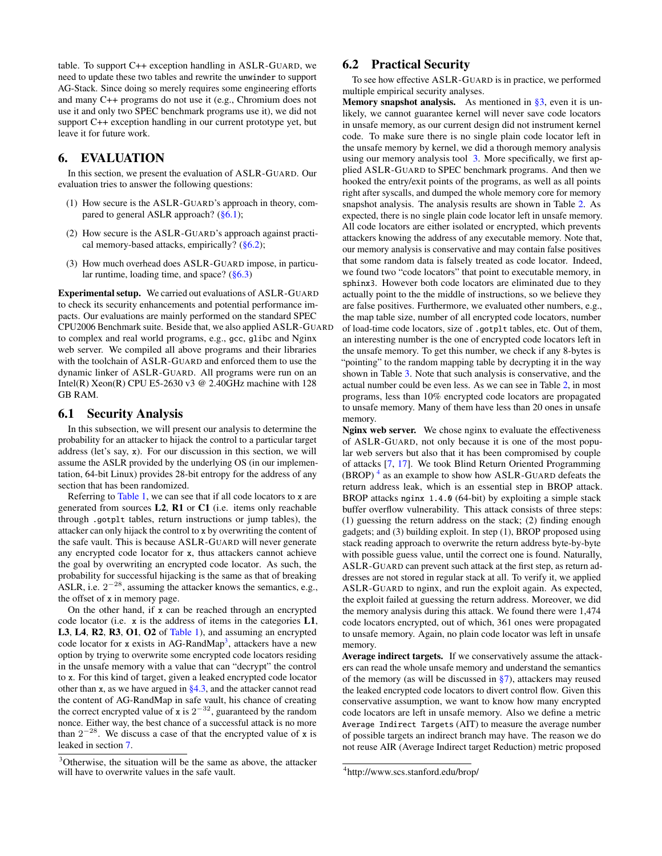table. To support C++ exception handling in ASLR-GUARD, we need to update these two tables and rewrite the unwinder to support AG-Stack. Since doing so merely requires some engineering efforts and many C++ programs do not use it (e.g., Chromium does not use it and only two SPEC benchmark programs use it), we did not support C++ exception handling in our current prototype yet, but leave it for future work.

## <span id="page-7-0"></span>6. EVALUATION

In this section, we present the evaluation of ASLR-GUARD. Our evaluation tries to answer the following questions:

- (1) How secure is the ASLR-GUARD's approach in theory, com-pared to general ASLR approach? [\(§6.1\)](#page-7-1);
- (2) How secure is the ASLR-GUARD's approach against practical memory-based attacks, empirically? [\(§6.2\)](#page-7-2);
- (3) How much overhead does ASLR-GUARD impose, in particular runtime, loading time, and space? [\(§6.3\)](#page-8-1)

Experimental setup. We carried out evaluations of ASLR-GUARD to check its security enhancements and potential performance impacts. Our evaluations are mainly performed on the standard SPEC CPU2006 Benchmark suite. Beside that, we also applied ASLR-GUARD to complex and real world programs, e.g., gcc, glibc and Nginx web server. We compiled all above programs and their libraries with the toolchain of ASLR-GUARD and enforced them to use the dynamic linker of ASLR-GUARD. All programs were run on an Intel(R) Xeon(R) CPU E5-2630 v3  $\omega$  2.40GHz machine with 128 GB RAM.

#### <span id="page-7-1"></span>6.1 Security Analysis

In this subsection, we will present our analysis to determine the probability for an attacker to hijack the control to a particular target address (let's say, x). For our discussion in this section, we will assume the ASLR provided by the underlying OS (in our implementation, 64-bit Linux) provides 28-bit entropy for the address of any section that has been randomized.

Referring to [Table 1,](#page-3-0) we can see that if all code locators to x are generated from sources L2, R1 or C1 (i.e. items only reachable through .gotplt tables, return instructions or jump tables), the attacker can only hijack the control to x by overwriting the content of the safe vault. This is because ASLR-GUARD will never generate any encrypted code locator for x, thus attackers cannot achieve the goal by overwriting an encrypted code locator. As such, the probability for successful hijacking is the same as that of breaking ASLR, i.e.  $2^{-28}$ , assuming the attacker knows the semantics, e.g., the offset of x in memory page.

On the other hand, if x can be reached through an encrypted code locator (i.e. x is the address of items in the categories L1, L3, L4, R2, R3, O1, O2 of [Table 1\)](#page-3-0), and assuming an encrypted code locator for x exists in AG-RandMap<sup>[3](#page-7-3)</sup>, attackers have a new option by trying to overwrite some encrypted code locators residing in the unsafe memory with a value that can "decrypt" the control to x. For this kind of target, given a leaked encrypted code locator other than  $x$ , as we have argued in  $\S 4.3$ , and the attacker cannot read the content of AG-RandMap in safe vault, his chance of creating the correct encrypted value of x is  $2^{-32}$ , guaranteed by the random nonce. Either way, the best chance of a successful attack is no more than  $2^{-28}$ . We discuss a case of that the encrypted value of x is leaked in section [7.](#page-8-0)

## <span id="page-7-2"></span>6.2 Practical Security

To see how effective ASLR-GUARD is in practice, we performed multiple empirical security analyses.

**Memory snapshot analysis.** As mentioned in  $\S3$ , even it is unlikely, we cannot guarantee kernel will never save code locators in unsafe memory, as our current design did not instrument kernel code. To make sure there is no single plain code locator left in the unsafe memory by kernel, we did a thorough memory analysis using our memory analysis tool [3.](#page-2-0) More specifically, we first applied ASLR-GUARD to SPEC benchmark programs. And then we hooked the entry/exit points of the programs, as well as all points right after syscalls, and dumped the whole memory core for memory snapshot analysis. The analysis results are shown in Table [2.](#page-8-2) As expected, there is no single plain code locator left in unsafe memory. All code locators are either isolated or encrypted, which prevents attackers knowing the address of any executable memory. Note that, our memory analysis is conservative and may contain false positives that some random data is falsely treated as code locator. Indeed, we found two "code locators" that point to executable memory, in sphinx3. However both code locators are eliminated due to they actually point to the the middle of instructions, so we believe they are false positives. Furthermore, we evaluated other numbers, e.g., the map table size, number of all encrypted code locators, number of load-time code locators, size of .gotplt tables, etc. Out of them, an interesting number is the one of encrypted code locators left in the unsafe memory. To get this number, we check if any 8-bytes is "pointing" to the random mapping table by decrypting it in the way shown in Table [3.](#page-4-0) Note that such analysis is conservative, and the actual number could be even less. As we can see in Table [2,](#page-8-2) in most programs, less than 10% encrypted code locators are propagated to unsafe memory. Many of them have less than 20 ones in unsafe memory.

Nginx web server. We chose nginx to evaluate the effectiveness of ASLR-GUARD, not only because it is one of the most popular web servers but also that it has been compromised by couple of attacks [\[7,](#page-10-0) [17\]](#page-11-5). We took Blind Return Oriented Programming  $(BROP)^4$  $(BROP)^4$  as an example to show how ASLR-GUARD defeats the return address leak, which is an essential step in BROP attack. BROP attacks nginx 1.4.0 (64-bit) by exploiting a simple stack buffer overflow vulnerability. This attack consists of three steps: (1) guessing the return address on the stack; (2) finding enough gadgets; and (3) building exploit. In step (1), BROP proposed using stack reading approach to overwrite the return address byte-by-byte with possible guess value, until the correct one is found. Naturally, ASLR-GUARD can prevent such attack at the first step, as return addresses are not stored in regular stack at all. To verify it, we applied ASLR-GUARD to nginx, and run the exploit again. As expected, the exploit failed at guessing the return address. Moreover, we did the memory analysis during this attack. We found there were 1,474 code locators encrypted, out of which, 361 ones were propagated to unsafe memory. Again, no plain code locator was left in unsafe memory.

Average indirect targets. If we conservatively assume the attackers can read the whole unsafe memory and understand the semantics of the memory (as will be discussed in [§7\)](#page-8-0), attackers may reused the leaked encrypted code locators to divert control flow. Given this conservative assumption, we want to know how many encrypted code locators are left in unsafe memory. Also we define a metric Average Indirect Targets (AIT) to measure the average number of possible targets an indirect branch may have. The reason we do not reuse AIR (Average Indirect target Reduction) metric proposed

<span id="page-7-3"></span> $3$ Otherwise, the situation will be the same as above, the attacker will have to overwrite values in the safe vault.

<span id="page-7-4"></span><sup>4</sup> http://www.scs.stanford.edu/brop/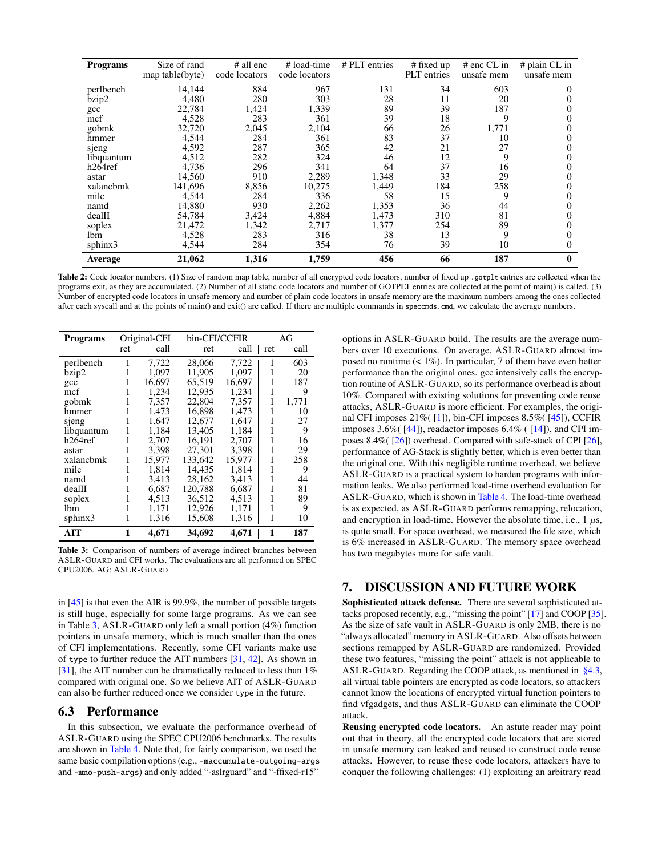<span id="page-8-2"></span>

| <b>Programs</b> | Size of rand<br>map table(byte) | $#$ all enc<br>code locators | # load-time<br>code locators | # PLT entries | $#$ fixed up<br>PLT entries | $#$ enc CL in<br>unsafe mem | $#$ plain CL in<br>unsafe mem |
|-----------------|---------------------------------|------------------------------|------------------------------|---------------|-----------------------------|-----------------------------|-------------------------------|
| perlbench       | 14,144                          | 884                          | 967                          | 131           | 34                          | 603                         | $\theta$                      |
| bzip2           | 4,480                           | 280                          | 303                          | 28            | 11                          | 20                          |                               |
| $_{\rm gcc}$    | 22,784                          | 1,424                        | 1,339                        | 89            | 39                          | 187                         |                               |
| mcf             | 4,528                           | 283                          | 361                          | 39            | 18                          | 9                           |                               |
| gobmk           | 32,720                          | 2,045                        | 2,104                        | 66            | 26                          | 1,771                       |                               |
| hmmer           | 4,544                           | 284                          | 361                          | 83            | 37                          | 10                          |                               |
| sjeng           | 4,592                           | 287                          | 365                          | 42            | 21                          | 27                          |                               |
| libquantum      | 4,512                           | 282                          | 324                          | 46            | 12                          | 9                           |                               |
| h264ref         | 4,736                           | 296                          | 341                          | 64            | 37                          | 16                          |                               |
| astar           | 14,560                          | 910                          | 2.289                        | 1,348         | 33                          | 29                          |                               |
| xalancbmk       | 141,696                         | 8,856                        | 10,275                       | 1,449         | 184                         | 258                         |                               |
| milc            | 4,544                           | 284                          | 336                          | 58            | 15                          | 9                           |                               |
| namd            | 14,880                          | 930                          | 2,262                        | 1,353         | 36                          | 44                          |                               |
| dealII          | 54,784                          | 3,424                        | 4,884                        | 1,473         | 310                         | 81                          |                               |
| soplex          | 21,472                          | 1,342                        | 2.717                        | 1,377         | 254                         | 89                          |                               |
| lbm             | 4,528                           | 283                          | 316                          | 38            | 13                          | 9                           |                               |
| sphinx3         | 4,544                           | 284                          | 354                          | 76            | 39                          | 10                          | 0                             |
| <b>Average</b>  | 21,062                          | 1,316                        | 1,759                        | 456           | 66                          | 187                         | $\bf{0}$                      |

Table 2: Code locator numbers. (1) Size of random map table, number of all encrypted code locators, number of fixed up .gotplt entries are collected when the programs exit, as they are accumulated. (2) Number of all static code locators and number of GOTPLT entries are collected at the point of main() is called. (3) Number of encrypted code locators in unsafe memory and number of plain code locators in unsafe memory are the maximum numbers among the ones collected after each syscall and at the points of main() and exit() are called. If there are multiple commands in specemds. cmd, we calculate the average numbers.

<span id="page-8-3"></span>

| <b>Programs</b> |     | Original-CFI | bin-CFI/CCFIR | AG     |     |       |
|-----------------|-----|--------------|---------------|--------|-----|-------|
|                 | ret | call         | ret           | call   | ret | call  |
| perlbench       | 1   | 7,722        | 28,066        | 7.722  | 1   | 603   |
| bzip2           | 1   | 1,097        | 11,905        | 1,097  |     | 20    |
| gcc             | 1   | 16.697       | 65.519        | 16.697 |     | 187   |
| mcf             | 1   | 1.234        | 12,935        | 1,234  |     | 9     |
| gobmk           | 1   | 7,357        | 22,804        | 7,357  |     | 1,771 |
| hmmer           | 1   | 1.473        | 16.898        | 1,473  |     | 10    |
| sjeng           |     | 1.647        | 12.677        | 1.647  |     | 27    |
| libquantum      | 1   | 1.184        | 13.405        | 1.184  |     | 9     |
| h264ref         | 1   | 2,707        | 16.191        | 2,707  |     | 16    |
| astar           | 1   | 3.398        | 27.301        | 3.398  |     | 29    |
| xalancbmk       |     | 15,977       | 133.642       | 15,977 |     | 258   |
| milc            | 1   | 1.814        | 14,435        | 1.814  |     | 9     |
| namd            | 1   | 3,413        | 28.162        | 3,413  |     | 44    |
| dealII          |     | 6.687        | 120.788       | 6,687  |     | 81    |
| soplex          |     | 4,513        | 36,512        | 4,513  |     | 89    |
| lbm             | 1   | 1.171        | 12,926        | 1,171  |     | 9     |
| sphinx3         | 1   | 1,316        | 15,608        | 1,316  |     | 10    |
| AIT             | 1   | 4.671        | 34,692        | 4.671  | 1   | 187   |

Table 3: Comparison of numbers of average indirect branches between ASLR-GUARD and CFI works. The evaluations are all performed on SPEC CPU2006. AG: ASLR-GUARD

in [\[45\]](#page-11-16) is that even the AIR is 99.9%, the number of possible targets is still huge, especially for some large programs. As we can see in Table [3,](#page-8-3) ASLR-GUARD only left a small portion (4%) function pointers in unsafe memory, which is much smaller than the ones of CFI implementations. Recently, some CFI variants make use of type to further reduce the AIT numbers [\[31,](#page-11-17) [42\]](#page-11-18). As shown in [\[31\]](#page-11-17), the AIT number can be dramatically reduced to less than 1% compared with original one. So we believe AIT of ASLR-GUARD can also be further reduced once we consider type in the future.

#### <span id="page-8-1"></span>6.3 Performance

In this subsection, we evaluate the performance overhead of ASLR-GUARD using the SPEC CPU2006 benchmarks. The results are shown in [Table 4.](#page-9-1) Note that, for fairly comparison, we used the same basic compilation options (e.g., -maccumulate-outgoing-args and -mno-push-args) and only added "-aslrguard" and "-ffixed-r15"

options in ASLR-GUARD build. The results are the average numbers over 10 executions. On average, ASLR-GUARD almost imposed no runtime  $(1\%)$ . In particular, 7 of them have even better performance than the original ones. gcc intensively calls the encryption routine of ASLR-GUARD, so its performance overhead is about 10%. Compared with existing solutions for preventing code reuse attacks, ASLR-GUARD is more efficient. For examples, the original CFI imposes 21%( [\[1\]](#page-10-3)), bin-CFI imposes 8.5%( [\[45\]](#page-11-16)), CCFIR imposes  $3.6\%$  ([\[44\]](#page-11-19)), readactor imposes  $6.4\%$  ([\[14\]](#page-11-20)), and CPI imposes 8.4%( [\[26\]](#page-11-14)) overhead. Compared with safe-stack of CPI [\[26\]](#page-11-14), performance of AG-Stack is slightly better, which is even better than the original one. With this negligible runtime overhead, we believe ASLR-GUARD is a practical system to harden programs with information leaks. We also performed load-time overhead evaluation for ASLR-GUARD, which is shown in [Table 4.](#page-9-1) The load-time overhead is as expected, as ASLR-GUARD performs remapping, relocation, and encryption in load-time. However the absolute time, i.e.,  $1 \mu s$ , is quite small. For space overhead, we measured the file size, which is 6% increased in ASLR-GUARD. The memory space overhead has two megabytes more for safe vault.

# <span id="page-8-0"></span>7. DISCUSSION AND FUTURE WORK

Sophisticated attack defense. There are several sophisticated attacks proposed recently, e.g., "missing the point" [\[17\]](#page-11-5) and COOP [\[35\]](#page-11-11). As the size of safe vault in ASLR-GUARD is only 2MB, there is no "always allocated" memory in ASLR-GUARD. Also offsets between sections remapped by ASLR-GUARD are randomized. Provided these two features, "missing the point" attack is not applicable to ASLR-GUARD. Regarding the COOP attack, as mentioned in [§4.3,](#page-3-4) all virtual table pointers are encrypted as code locators, so attackers cannot know the locations of encrypted virtual function pointers to find vfgadgets, and thus ASLR-GUARD can eliminate the COOP attack.

Reusing encrypted code locators. An astute reader may point out that in theory, all the encrypted code locators that are stored in unsafe memory can leaked and reused to construct code reuse attacks. However, to reuse these code locators, attackers have to conquer the following challenges: (1) exploiting an arbitrary read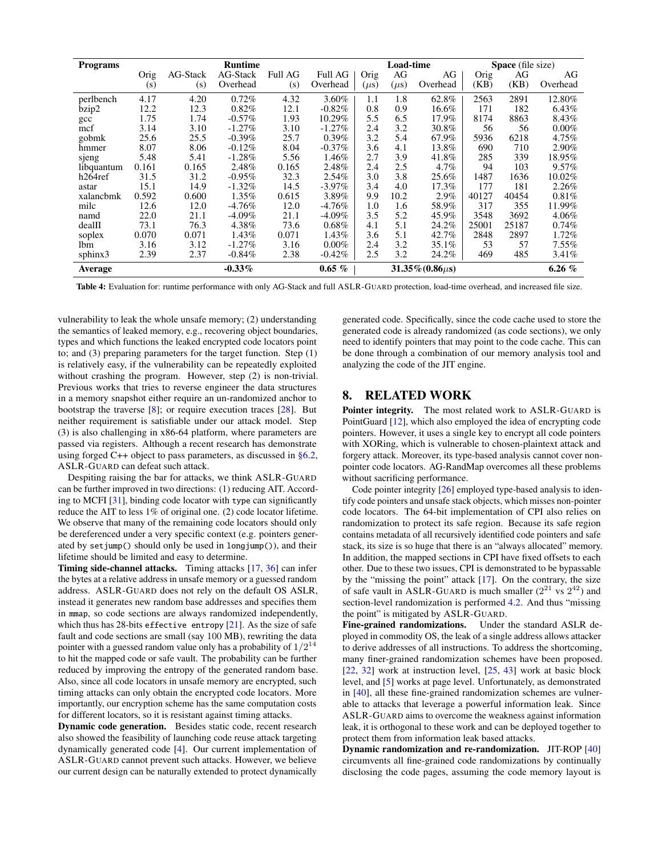<span id="page-9-1"></span>

| <b>Programs</b> | <b>Runtime</b> |                 |                 |                |                |                        | Load-time |          | Space (file size) |          |          |
|-----------------|----------------|-----------------|-----------------|----------------|----------------|------------------------|-----------|----------|-------------------|----------|----------|
|                 | Orig           | <b>AG-Stack</b> | <b>AG-Stack</b> | <b>Full AG</b> | <b>Full AG</b> | Orig                   | AG        | AG       | Orig              | AG       | AG       |
|                 | (s)            | (s)             | Overhead        | (s)            | Overhead       | $(\mu s)$              | $(\mu s)$ | Overhead | (KB)              | (KB)     | Overhead |
| perlbench       | 4.17           | 4.20            | 0.72%           | 4.32           | 3.60%          | 1.1                    | 1.8       | 62.8%    | 2563              | 2891     | 12.80%   |
| bzip2           | 12.2           | 12.3            | 0.82%           | 12.1           | $-0.82%$       | 0.8                    | 0.9       | 16.6%    | 171               | 182      | 6.43%    |
| gcc             | 1.75           | 1.74            | $-0.57\%$       | 1.93           | 10.29%         | 5.5                    | 6.5       | 17.9%    | 8174              | 8863     | 8.43%    |
| mcf             | 3.14           | 3.10            | $-1.27%$        | 3.10           | $-1.27%$       | 2.4                    | 3.2       | 30.8%    | 56                | 56       | $0.00\%$ |
| gobmk           | 25.6           | 25.5            | $-0.39\%$       | 25.7           | $0.39\%$       | 3.2                    | 5.4       | 67.9%    | 5936              | 6218     | 4.75%    |
| hmmer           | 8.07           | 8.06            | $-0.12%$        | 8.04           | $-0.37\%$      | 3.6                    | 4.1       | 13.8%    | 690               | 710      | 2.90%    |
| sjeng           | 5.48           | 5.41            | $-1.28%$        | 5.56           | 1.46%          | 2.7                    | 3.9       | 41.8%    | 285               | 339      | 18.95%   |
| libquantum      | 0.161          | 0.165           | 2.48%           | 0.165          | 2.48%          | 2.4                    | 2.5       | 4.7%     | 94                | 103      | 9.57%    |
| h264ref         | 31.5           | 31.2            | $-0.95%$        | 32.3           | 2.54%          | 3.0                    | 3.8       | 25.6%    | 1487              | 1636     | 10.02%   |
| astar           | 15.1           | 14.9            | $-1.32\%$       | 14.5           | $-3.97\%$      | 3.4                    | 4.0       | 17.3%    | 177               | 181      | $2.26\%$ |
| xalancbmk       | 0.592          | 0.600           | 1.35%           | 0.615          | 3.89%          | 9.9                    | 10.2      | 2.9%     | 40127             | 40454    | 0.81%    |
| milc            | 12.6           | 12.0            | $-4.76%$        | 12.0           | $-4.76%$       | 1.0                    | 1.6       | 58.9%    | 317               | 355      | 11.99%   |
| namd            | 22.0           | 21.1            | $-4.09\%$       | 21.1           | $-4.09\%$      | 3.5                    | 5.2       | 45.9%    | 3548              | 3692     | 4.06%    |
| dealII          | 73.1           | 76.3            | 4.38%           | 73.6           | $0.68\%$       | 4.1                    | 5.1       | 24.2%    | 25001             | 25187    | 0.74%    |
| soplex          | 0.070          | 0.071           | 1.43%           | 0.071          | 1.43%          | 3.6                    | 5.1       | 42.7%    | 2848              | 2897     | 1.72%    |
| lbm             | 3.16           | 3.12            | $-1.27%$        | 3.16           | $0.00\%$       | 2.4                    | 3.2       | 35.1%    | 53                | 57       | $7.55\%$ |
| sphinx3         | 2.39           | 2.37            | $-0.84%$        | 2.38           | $-0.42%$       | 2.5                    | 3.2       | 24.2%    | 469               | 485      | 3.41%    |
| Average         | $-0.33\%$      |                 |                 |                | $0.65\%$       | $31.35\% (0.86 \mu s)$ |           |          |                   | 6.26 $%$ |          |

Table 4: Evaluation for: runtime performance with only AG-Stack and full ASLR-GUARD protection, load-time overhead, and increased file size.

vulnerability to leak the whole unsafe memory; (2) understanding the semantics of leaked memory, e.g., recovering object boundaries, types and which functions the leaked encrypted code locators point to; and (3) preparing parameters for the target function. Step (1) is relatively easy, if the vulnerability can be repeatedly exploited without crashing the program. However, step (2) is non-trivial. Previous works that tries to reverse engineer the data structures in a memory snapshot either require an un-randomized anchor to bootstrap the traverse [\[8\]](#page-10-4); or require execution traces [\[28\]](#page-11-21). But neither requirement is satisfiable under our attack model. Step (3) is also challenging in x86-64 platform, where parameters are passed via registers. Although a recent research has demonstrate using forged  $C++$  object to pass parameters, as discussed in  $\S6.2$ , ASLR-GUARD can defeat such attack.

Despiting raising the bar for attacks, we think ASLR-GUARD can be further improved in two directions: (1) reducing AIT. According to MCFI [\[31\]](#page-11-17), binding code locator with type can significantly reduce the AIT to less 1% of original one. (2) code locator lifetime. We observe that many of the remaining code locators should only be dereferenced under a very specific context (e.g. pointers generated by setjump() should only be used in longjump()), and their lifetime should be limited and easy to determine.

Timing side-channel attacks. Timing attacks [\[17,](#page-11-5) [36\]](#page-11-22) can infer the bytes at a relative address in unsafe memory or a guessed random address. ASLR-GUARD does not rely on the default OS ASLR, instead it generates new random base addresses and specifies them in mmap, so code sections are always randomized independently, which thus has  $28$ -bits effective entropy  $[21]$ . As the size of safe fault and code sections are small (say 100 MB), rewriting the data pointer with a guessed random value only has a probability of  $1/2^{14}$ to hit the mapped code or safe vault. The probability can be further reduced by improving the entropy of the generated random base. Also, since all code locators in unsafe memory are encrypted, such timing attacks can only obtain the encrypted code locators. More importantly, our encryption scheme has the same computation costs for different locators, so it is resistant against timing attacks.

Dynamic code generation. Besides static code, recent research also showed the feasibility of launching code reuse attack targeting dynamically generated code [\[4\]](#page-10-5). Our current implementation of ASLR-GUARD cannot prevent such attacks. However, we believe our current design can be naturally extended to protect dynamically generated code. Specifically, since the code cache used to store the generated code is already randomized (as code sections), we only need to identify pointers that may point to the code cache. This can be done through a combination of our memory analysis tool and analyzing the code of the JIT engine.

## <span id="page-9-0"></span>8. RELATED WORK

Pointer integrity. The most related work to ASLR-GUARD is PointGuard [\[12\]](#page-11-10), which also employed the idea of encrypting code pointers. However, it uses a single key to encrypt all code pointers with XORing, which is vulnerable to chosen-plaintext attack and forgery attack. Moreover, its type-based analysis cannot cover nonpointer code locators. AG-RandMap overcomes all these problems without sacrificing performance.

Code pointer integrity [\[26\]](#page-11-14) employed type-based analysis to identify code pointers and unsafe stack objects, which misses non-pointer code locators. The 64-bit implementation of CPI also relies on randomization to protect its safe region. Because its safe region contains metadata of all recursively identified code pointers and safe stack, its size is so huge that there is an "always allocated" memory. In addition, the mapped sections in CPI have fixed offsets to each other. Due to these two issues, CPI is demonstrated to be bypassable by the "missing the point" attack [\[17\]](#page-11-5). On the contrary, the size of safe vault in ASLR-GUARD is much smaller  $(2^{21} \text{ vs } 2^{42})$  and section-level randomization is performed [4.2.](#page-3-3) And thus "missing the point" is mitigated by ASLR-GUARD.

Fine-grained randomizations. Under the standard ASLR deployed in commodity OS, the leak of a single address allows attacker to derive addresses of all instructions. To address the shortcoming, many finer-grained randomization schemes have been proposed. [\[22,](#page-11-1) [32\]](#page-11-3) work at instruction level, [\[25,](#page-11-24) [43\]](#page-11-4) work at basic block level, and [\[5\]](#page-10-6) works at page level. Unfortunately, as demonstrated in [\[40\]](#page-11-9), all these fine-grained randomization schemes are vulnerable to attacks that leverage a powerful information leak. Since ASLR-GUARD aims to overcome the weakness against information leak, it is orthogonal to these work and can be deployed together to protect them from information leak based attacks.

Dynamic randomization and re-randomization. JIT-ROP [\[40\]](#page-11-9) circumvents all fine-grained code randomizations by continually disclosing the code pages, assuming the code memory layout is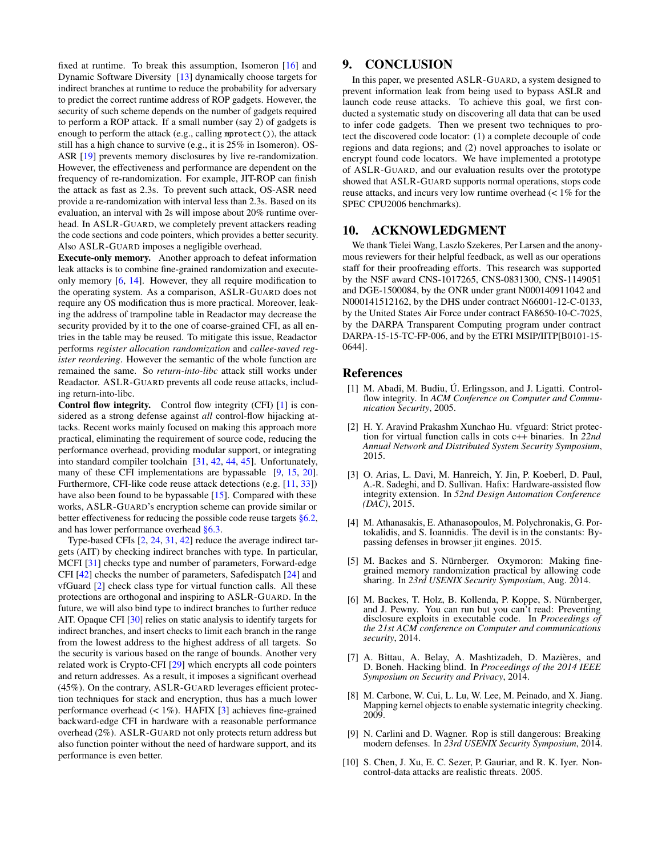fixed at runtime. To break this assumption, Isomeron [\[16\]](#page-11-25) and Dynamic Software Diversity [\[13\]](#page-11-26) dynamically choose targets for indirect branches at runtime to reduce the probability for adversary to predict the correct runtime address of ROP gadgets. However, the security of such scheme depends on the number of gadgets required to perform a ROP attack. If a small number (say 2) of gadgets is enough to perform the attack (e.g., calling mprotect()), the attack still has a high chance to survive (e.g., it is 25% in Isomeron). OS-ASR [\[19\]](#page-11-27) prevents memory disclosures by live re-randomization. However, the effectiveness and performance are dependent on the frequency of re-randomization. For example, JIT-ROP can finish the attack as fast as 2.3s. To prevent such attack, OS-ASR need provide a re-randomization with interval less than 2.3s. Based on its evaluation, an interval with 2s will impose about 20% runtime overhead. In ASLR-GUARD, we completely prevent attackers reading the code sections and code pointers, which provides a better security. Also ASLR-GUARD imposes a negligible overhead.

Execute-only memory. Another approach to defeat information leak attacks is to combine fine-grained randomization and executeonly memory [\[6,](#page-10-7) [14\]](#page-11-20). However, they all require modification to the operating system. As a comparison, ASLR-GUARD does not require any OS modification thus is more practical. Moreover, leaking the address of trampoline table in Readactor may decrease the security provided by it to the one of coarse-grained CFI, as all entries in the table may be reused. To mitigate this issue, Readactor performs *register allocation randomization* and *callee-saved register reordering*. However the semantic of the whole function are remained the same. So *return-into-libc* attack still works under Readactor. ASLR-GUARD prevents all code reuse attacks, including return-into-libc.

Control flow integrity. Control flow integrity (CFI) [\[1\]](#page-10-3) is considered as a strong defense against *all* control-flow hijacking attacks. Recent works mainly focused on making this approach more practical, eliminating the requirement of source code, reducing the performance overhead, providing modular support, or integrating into standard compiler toolchain [\[31,](#page-11-17) [42,](#page-11-18) [44,](#page-11-19) [45\]](#page-11-16). Unfortunately, many of these CFI implementations are bypassable [\[9,](#page-10-8) [15,](#page-11-28) [20\]](#page-11-29). Furthermore, CFI-like code reuse attack detections (e.g. [\[11,](#page-11-30) [33\]](#page-11-31)) have also been found to be bypassable [\[15\]](#page-11-28). Compared with these works, ASLR-GUARD's encryption scheme can provide similar or better effectiveness for reducing the possible code reuse targets  $\S6.2$ , and has lower performance overhead [§6.3.](#page-8-1)

Type-based CFIs [\[2,](#page-10-9) [24,](#page-11-32) [31,](#page-11-17) [42\]](#page-11-18) reduce the average indirect targets (AIT) by checking indirect branches with type. In particular, MCFI [\[31\]](#page-11-17) checks type and number of parameters, Forward-edge CFI [\[42\]](#page-11-18) checks the number of parameters, Safedispatch [\[24\]](#page-11-32) and vfGuard [\[2\]](#page-10-9) check class type for virtual function calls. All these protections are orthogonal and inspiring to ASLR-GUARD. In the future, we will also bind type to indirect branches to further reduce AIT. Opaque CFI [\[30\]](#page-11-33) relies on static analysis to identify targets for indirect branches, and insert checks to limit each branch in the range from the lowest address to the highest address of all targets. So the security is various based on the range of bounds. Another very related work is Crypto-CFI [\[29\]](#page-11-34) which encrypts all code pointers and return addresses. As a result, it imposes a significant overhead (45%). On the contrary, ASLR-GUARD leverages efficient protection techniques for stack and encryption, thus has a much lower performance overhead  $(< 1\%)$ . HAFIX [\[3\]](#page-10-10) achieves fine-grained backward-edge CFI in hardware with a reasonable performance overhead (2%). ASLR-GUARD not only protects return address but also function pointer without the need of hardware support, and its performance is even better.

## <span id="page-10-1"></span>9. CONCLUSION

In this paper, we presented ASLR-GUARD, a system designed to prevent information leak from being used to bypass ASLR and launch code reuse attacks. To achieve this goal, we first conducted a systematic study on discovering all data that can be used to infer code gadgets. Then we present two techniques to protect the discovered code locator: (1) a complete decouple of code regions and data regions; and (2) novel approaches to isolate or encrypt found code locators. We have implemented a prototype of ASLR-GUARD, and our evaluation results over the prototype showed that ASLR-GUARD supports normal operations, stops code reuse attacks, and incurs very low runtime overhead (< 1% for the SPEC CPU2006 benchmarks).

#### 10. ACKNOWLEDGMENT

We thank Tielei Wang, Laszlo Szekeres, Per Larsen and the anonymous reviewers for their helpful feedback, as well as our operations staff for their proofreading efforts. This research was supported by the NSF award CNS-1017265, CNS-0831300, CNS-1149051 and DGE-1500084, by the ONR under grant N000140911042 and N000141512162, by the DHS under contract N66001-12-C-0133, by the United States Air Force under contract FA8650-10-C-7025, by the DARPA Transparent Computing program under contract DARPA-15-15-TC-FP-006, and by the ETRI MSIP/IITP[B0101-15- 0644].

## References

- <span id="page-10-3"></span>[1] M. Abadi, M. Budiu, Ú. Erlingsson, and J. Ligatti. Controlflow integrity. In *ACM Conference on Computer and Communication Security*, 2005.
- <span id="page-10-9"></span>[2] H. Y. Aravind Prakashm Xunchao Hu. vfguard: Strict protection for virtual function calls in cots c++ binaries. In *22nd Annual Network and Distributed System Security Symposium*, 2015.
- <span id="page-10-10"></span>[3] O. Arias, L. Davi, M. Hanreich, Y. Jin, P. Koeberl, D. Paul, A.-R. Sadeghi, and D. Sullivan. Hafix: Hardware-assisted flow integrity extension. In *52nd Design Automation Conference (DAC)*, 2015.
- <span id="page-10-5"></span>[4] M. Athanasakis, E. Athanasopoulos, M. Polychronakis, G. Portokalidis, and S. Ioannidis. The devil is in the constants: Bypassing defenses in browser jit engines. 2015.
- <span id="page-10-6"></span>[5] M. Backes and S. Nürnberger. Oxymoron: Making finegrained memory randomization practical by allowing code sharing. In *23rd USENIX Security Symposium*, Aug. 2014.
- <span id="page-10-7"></span>[6] M. Backes, T. Holz, B. Kollenda, P. Koppe, S. Nürnberger, and J. Pewny. You can run but you can't read: Preventing disclosure exploits in executable code. In *Proceedings of the 21st ACM conference on Computer and communications security*, 2014.
- <span id="page-10-0"></span>[7] A. Bittau, A. Belay, A. Mashtizadeh, D. Mazières, and D. Boneh. Hacking blind. In *Proceedings of the 2014 IEEE Symposium on Security and Privacy*, 2014.
- <span id="page-10-4"></span>[8] M. Carbone, W. Cui, L. Lu, W. Lee, M. Peinado, and X. Jiang. Mapping kernel objects to enable systematic integrity checking. 2009.
- <span id="page-10-8"></span>[9] N. Carlini and D. Wagner. Rop is still dangerous: Breaking modern defenses. In *23rd USENIX Security Symposium*, 2014.
- <span id="page-10-2"></span>[10] S. Chen, J. Xu, E. C. Sezer, P. Gauriar, and R. K. Iyer. Noncontrol-data attacks are realistic threats. 2005.